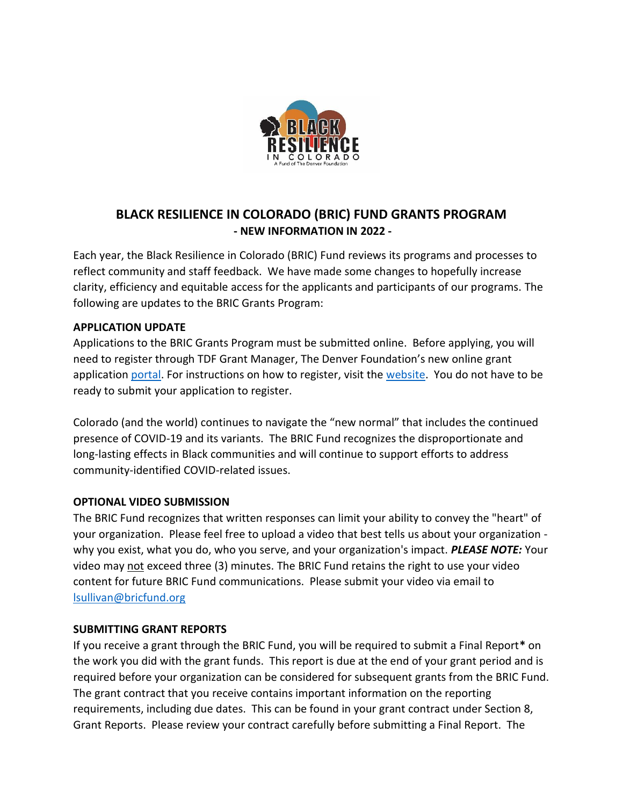

# **BLACK RESILIENCE IN COLORADO (BRIC) FUND GRANTS PROGRAM - NEW INFORMATION IN 2022 -**

Each year, the Black Resilience in Colorado (BRIC) Fund reviews its programs and processes to reflect community and staff feedback. We have made some changes to hopefully increase clarity, efficiency and equitable access for the applicants and participants of our programs. The following are updates to the BRIC Grants Program:

### **APPLICATION UPDATE**

Applications to the BRIC Grants Program must be submitted online. Before applying, you will need to register through TDF Grant Manager, The Denver Foundation's new online grant application [portal.](https://www.grantinterface.com/Home/Logon?urlkey=denverfdn) For instructions on how to register, visit the [website.](http://denverfoundation.org/grantmanager) You do not have to be ready to submit your application to register.

Colorado (and the world) continues to navigate the "new normal" that includes the continued presence of COVID-19 and its variants. The BRIC Fund recognizes the disproportionate and long-lasting effects in Black communities and will continue to support efforts to address community-identified COVID-related issues.

### **OPTIONAL VIDEO SUBMISSION**

The BRIC Fund recognizes that written responses can limit your ability to convey the "heart" of your organization. Please feel free to upload a video that best tells us about your organization why you exist, what you do, who you serve, and your organization's impact. *PLEASE NOTE:* Your video may not exceed three (3) minutes. The BRIC Fund retains the right to use your video content for future BRIC Fund communications. Please submit your video via email to [lsullivan@bricfund.org](file:///C:/Users/lsullivan/AppData/Local/Temp/b2d2f6d2-235d-4591-8f17-c51dc92b5060/lsullivan@bricfund.org)

### **SUBMITTING GRANT REPORTS**

If you receive a grant through the BRIC Fund, you will be required to submit a Final Report**\*** on the work you did with the grant funds. This report is due at the end of your grant period and is required before your organization can be considered for subsequent grants from the BRIC Fund. The grant contract that you receive contains important information on the reporting requirements, including due dates. This can be found in your grant contract under Section 8, Grant Reports. Please review your contract carefully before submitting a Final Report. The